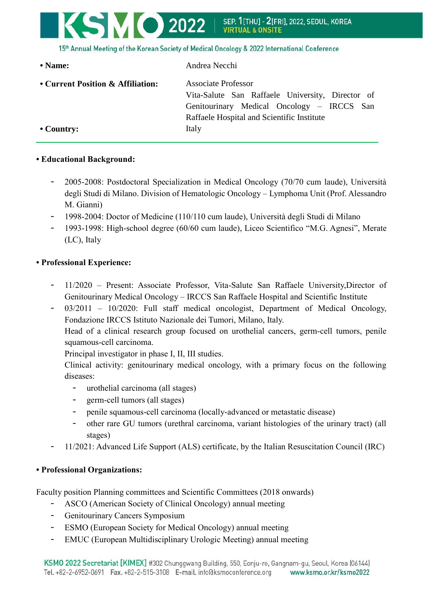

15th Annual Meeting of the Korean Society of Medical Oncology & 2022 International Conference

| • Name:                           | Andrea Necchi                                                                                                                                                              |
|-----------------------------------|----------------------------------------------------------------------------------------------------------------------------------------------------------------------------|
| • Current Position & Affiliation: | <b>Associate Professor</b><br>Vita-Salute San Raffaele University, Director of<br>Genitourinary Medical Oncology – IRCCS San<br>Raffaele Hospital and Scientific Institute |
| $\cdot$ Country:                  | Italy                                                                                                                                                                      |

## **• Educational Background:**

- 2005-2008: Postdoctoral Specialization in Medical Oncology (70/70 cum laude), Università degli Studi di Milano. Division of Hematologic Oncology – Lymphoma Unit (Prof. Alessandro M. Gianni)
- 1998-2004: Doctor of Medicine (110/110 cum laude), Università degli Studi di Milano
- 1993-1998: High-school degree (60/60 cum laude), Liceo Scientifico "M.G. Agnesi", Merate (LC), Italy

## **• Professional Experience:**

- 11/2020 Present: Associate Professor, Vita-Salute San Raffaele University,Director of Genitourinary Medical Oncology – IRCCS San Raffaele Hospital and Scientific Institute
- 03/2011 10/2020: Full staff medical oncologist, Department of Medical Oncology, Fondazione IRCCS Istituto Nazionale dei Tumori, Milano, Italy.

Head of a clinical research group focused on urothelial cancers, germ-cell tumors, penile squamous-cell carcinoma.

Principal investigator in phase I, II, III studies.

Clinical activity: genitourinary medical oncology, with a primary focus on the following diseases:

- urothelial carcinoma (all stages)
- germ-cell tumors (all stages)
- penile squamous-cell carcinoma (locally-advanced or metastatic disease)
- other rare GU tumors (urethral carcinoma, variant histologies of the urinary tract) (all stages)
- 11/2021: Advanced Life Support (ALS) certificate, by the Italian Resuscitation Council (IRC)

## **• Professional Organizations:**

Faculty position Planning committees and Scientific Committees (2018 onwards)

- ASCO (American Society of Clinical Oncology) annual meeting
- Genitourinary Cancers Symposium
- ESMO (European Society for Medical Oncology) annual meeting
- EMUC (European Multidisciplinary Urologic Meeting) annual meeting